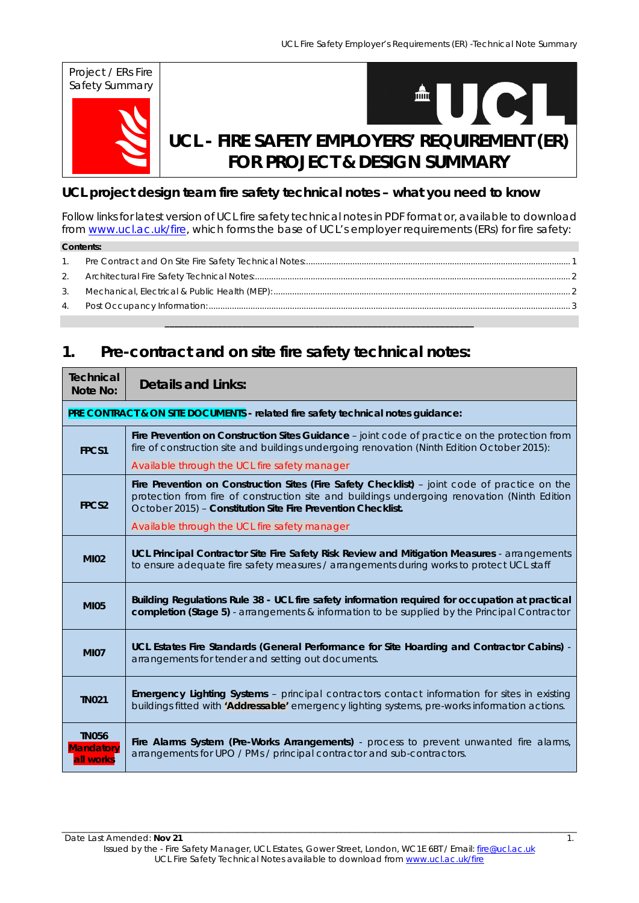

### **UCL project design team fire safety technical notes – what you need to know**

Follow links for latest version of UCL fire safety technical notes in PDF format or, available to download from www.ucl.ac.uk/fire, which forms the base of UCL's employer requirements (ERs) for fire safety:

| <b>Contents:</b> |  |  |  |  |
|------------------|--|--|--|--|
| $\overline{1}$ . |  |  |  |  |
|                  |  |  |  |  |
|                  |  |  |  |  |
|                  |  |  |  |  |

**\_\_\_\_\_\_\_\_\_\_\_\_\_\_\_\_\_\_\_\_\_\_\_\_\_\_\_\_\_\_\_\_\_\_\_\_\_\_\_\_\_\_\_\_\_\_\_\_\_\_\_\_\_\_\_\_\_\_\_\_\_\_\_\_** 

## **1. Pre-contract and on site fire safety technical notes:**

| <b>Technical</b><br>Note No:                                                     | <b>Details and Links:</b>                                                                                                                                                                                                                                     |  |  |  |  |
|----------------------------------------------------------------------------------|---------------------------------------------------------------------------------------------------------------------------------------------------------------------------------------------------------------------------------------------------------------|--|--|--|--|
| PRE CONTRACT & ON SITE DOCUMENTS - related fire safety technical notes guidance: |                                                                                                                                                                                                                                                               |  |  |  |  |
| FPCS1                                                                            | Fire Prevention on Construction Sites Guidance - joint code of practice on the protection from<br>fire of construction site and buildings undergoing renovation (Ninth Edition October 2015):                                                                 |  |  |  |  |
|                                                                                  | Available through the UCL fire safety manager                                                                                                                                                                                                                 |  |  |  |  |
| FPCS <sub>2</sub>                                                                | Fire Prevention on Construction Sites (Fire Safety Checklist) - joint code of practice on the<br>protection from fire of construction site and buildings undergoing renovation (Ninth Edition<br>October 2015) - Constitution Site Fire Prevention Checklist. |  |  |  |  |
|                                                                                  | Available through the UCL fire safety manager                                                                                                                                                                                                                 |  |  |  |  |
| <b>MI02</b>                                                                      | UCL Principal Contractor Site Fire Safety Risk Review and Mitigation Measures - arrangements<br>to ensure adequate fire safety measures / arrangements during works to protect UCL staff                                                                      |  |  |  |  |
| <b>MI05</b>                                                                      | Building Regulations Rule 38 - UCL fire safety information required for occupation at practical<br>completion (Stage 5) - arrangements & information to be supplied by the Principal Contractor                                                               |  |  |  |  |
| <b>MI07</b>                                                                      | UCL Estates Fire Standards (General Performance for Site Hoarding and Contractor Cabins) -<br>arrangements for tender and setting out documents.                                                                                                              |  |  |  |  |
| <b>TN021</b>                                                                     | <b>Emergency Lighting Systems</b> - principal contractors contact information for sites in existing<br>buildings fitted with 'Addressable' emergency lighting systems, pre-works information actions.                                                         |  |  |  |  |
| <b>TN056</b><br><b>Mandatory</b><br>all works                                    | Fire Alarms System (Pre-Works Arrangements) - process to prevent unwanted fire alarms,<br>arrangements for UPO / PMs / principal contractor and sub-contractors.                                                                                              |  |  |  |  |

\_\_\_\_\_\_\_\_\_\_\_\_\_\_\_\_\_\_\_\_\_\_\_\_\_\_\_\_\_\_\_\_\_\_\_\_\_\_\_\_\_\_\_\_\_\_\_\_\_\_\_\_\_\_\_\_\_\_\_\_\_\_\_\_\_\_\_\_\_\_\_\_\_\_\_\_\_\_\_\_\_\_\_\_\_\_\_\_\_\_\_\_\_\_\_\_\_\_\_\_\_\_\_\_\_\_\_\_\_\_\_\_\_\_\_\_\_\_\_\_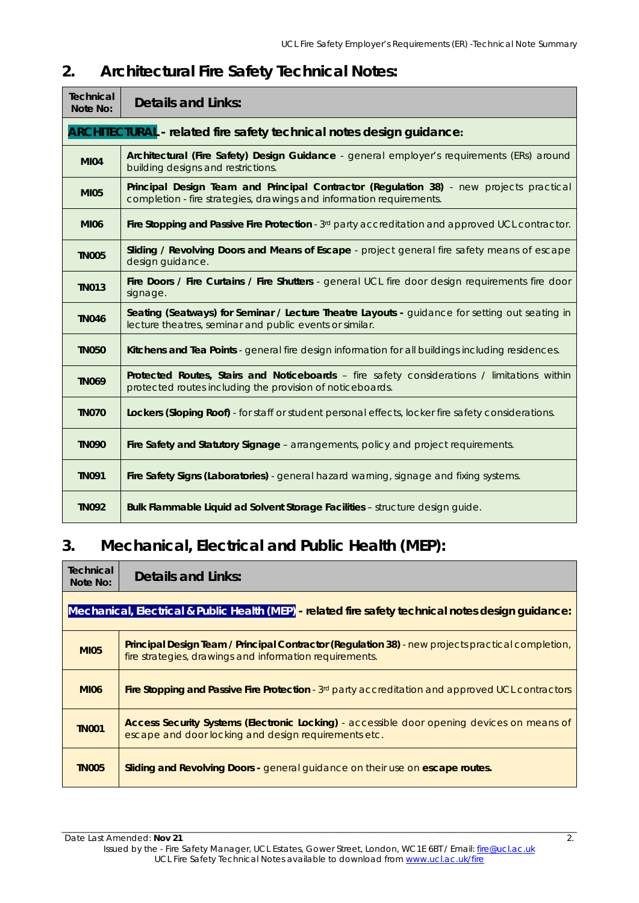# **Technical Note No: Details and Links: ARCHITECTURAL - related fire safety technical notes design guidance: MI04 Architectural (Fire Safety) Design Guidance** - general employer's requirements (ERs) around building designs and restrictions. **MI05 Principal Design Team and Principal Contractor (Regulation 38)** - new projects practical completion - fire strategies, drawings and information requirements. **MI06** Fire Stopping and Passive Fire Protection - 3<sup>rd</sup> party accreditation and approved UCL contractor. **TN005 Sliding / Revolving Doors and Means of Escape** - project general fire safety means of escape design guidance. **TN013 Fire Doors / Fire Curtains / Fire Shutters** - general UCL fire door design requirements fire door signage. **TN046** Seating (Seatways) for Seminar / Lecture Theatre Layouts - guidance for setting out seating in lecture theatres, seminar and public events or similar. **TN050 Kitchens and Tea Points** - general fire design information for all buildings including residences. **TN069 Protected Routes, Stairs and Noticeboards** – fire safety considerations / limitations within protected routes including the provision of noticeboards. **TN070 Lockers (Sloping Roof)** - for staff or student personal effects, locker fire safety considerations. **TN090 Fire Safety and Statutory Signage** – arrangements, policy and project requirements. **TN091** Fire Safety Signs (Laboratories) - general hazard warning, signage and fixing systems. **TN092** Bulk Flammable Liquid ad Solvent Storage Facilities – structure design guide.

### **2. Architectural Fire Safety Technical Notes:**

## **3. Mechanical, Electrical and Public Health (MEP):**

| Technical<br>Note No:                                                                               | Details and Links:                                                                                                                                           |  |  |  |
|-----------------------------------------------------------------------------------------------------|--------------------------------------------------------------------------------------------------------------------------------------------------------------|--|--|--|
| Mechanical, Electrical & Public Health (MEP) - related fire safety technical notes design guidance: |                                                                                                                                                              |  |  |  |
| <b>MI05</b>                                                                                         | Principal Design Team / Principal Contractor (Regulation 38) - new projects practical completion,<br>fire strategies, drawings and information requirements. |  |  |  |
| <b>MI06</b>                                                                                         | Fire Stopping and Passive Fire Protection - 3 <sup>rd</sup> party accreditation and approved UCL contractors                                                 |  |  |  |
| <b>TN001</b>                                                                                        | Access Security Systems (Electronic Locking) - accessible door opening devices on means of<br>escape and door locking and design requirements etc.           |  |  |  |
| <b>TN005</b>                                                                                        | Sliding and Revolving Doors - general guidance on their use on escape routes.                                                                                |  |  |  |

\_\_\_\_\_\_\_\_\_\_\_\_\_\_\_\_\_\_\_\_\_\_\_\_\_\_\_\_\_\_\_\_\_\_\_\_\_\_\_\_\_\_\_\_\_\_\_\_\_\_\_\_\_\_\_\_\_\_\_\_\_\_\_\_\_\_\_\_\_\_\_\_\_\_\_\_\_\_\_\_\_\_\_\_\_\_\_\_\_\_\_\_\_\_\_\_\_\_\_\_\_\_\_\_\_\_\_\_\_\_\_\_\_\_\_\_\_\_\_\_